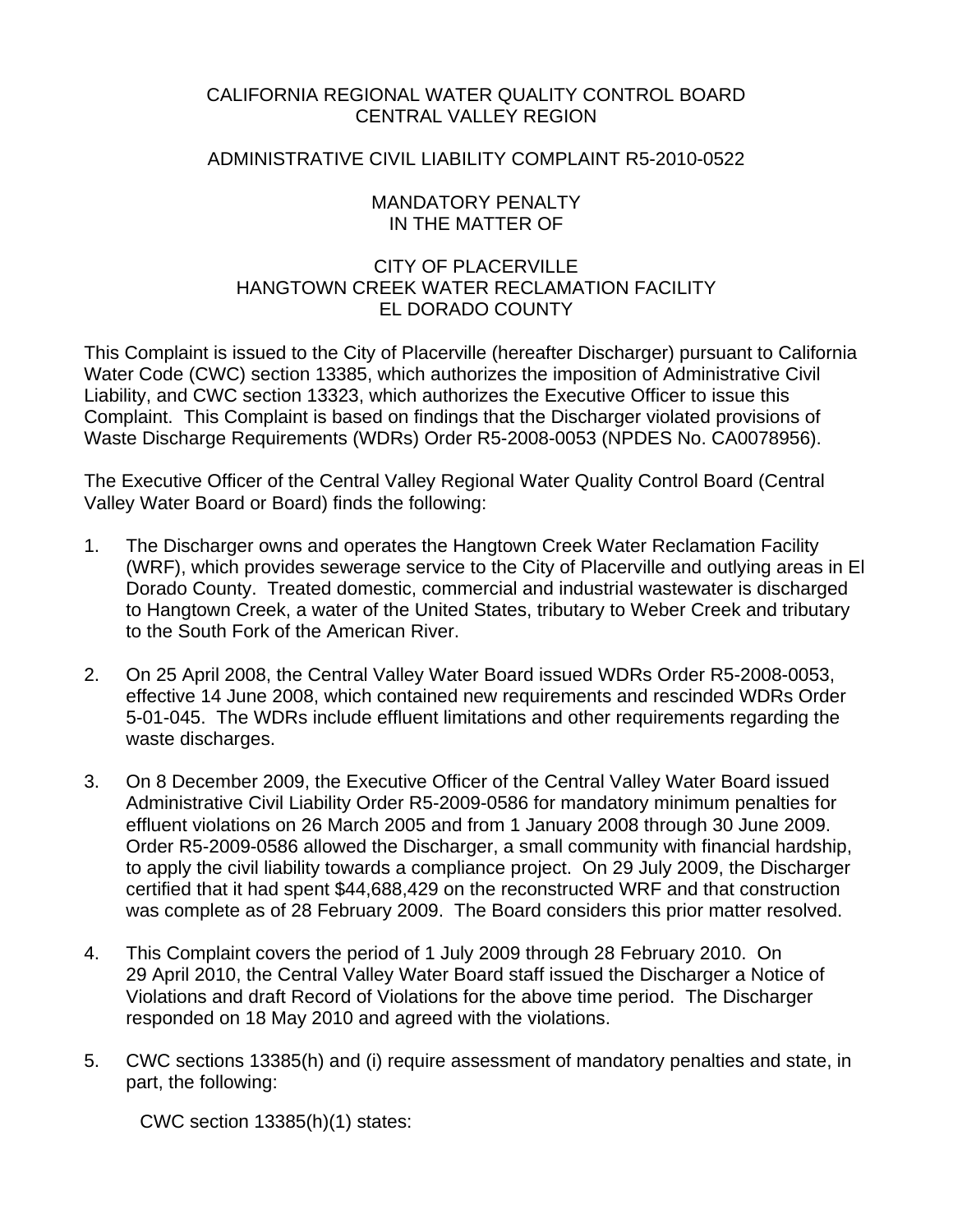# CALIFORNIA REGIONAL WATER QUALITY CONTROL BOARD CENTRAL VALLEY REGION

# ADMINISTRATIVE CIVIL LIABILITY COMPLAINT R5-2010-0522

### MANDATORY PENALTY IN THE MATTER OF

# CITY OF PLACERVILLE HANGTOWN CREEK WATER RECLAMATION FACILITY EL DORADO COUNTY

This Complaint is issued to the City of Placerville (hereafter Discharger) pursuant to California Water Code (CWC) section 13385, which authorizes the imposition of Administrative Civil Liability, and CWC section 13323, which authorizes the Executive Officer to issue this Complaint. This Complaint is based on findings that the Discharger violated provisions of Waste Discharge Requirements (WDRs) Order R5-2008-0053 (NPDES No. CA0078956).

The Executive Officer of the Central Valley Regional Water Quality Control Board (Central Valley Water Board or Board) finds the following:

- 1. The Discharger owns and operates the Hangtown Creek Water Reclamation Facility (WRF), which provides sewerage service to the City of Placerville and outlying areas in El Dorado County. Treated domestic, commercial and industrial wastewater is discharged to Hangtown Creek, a water of the United States, tributary to Weber Creek and tributary to the South Fork of the American River.
- 2. On 25 April 2008, the Central Valley Water Board issued WDRs Order R5-2008-0053, effective 14 June 2008, which contained new requirements and rescinded WDRs Order 5-01-045. The WDRs include effluent limitations and other requirements regarding the waste discharges.
- 3. On 8 December 2009, the Executive Officer of the Central Valley Water Board issued Administrative Civil Liability Order R5-2009-0586 for mandatory minimum penalties for effluent violations on 26 March 2005 and from 1 January 2008 through 30 June 2009. Order R5-2009-0586 allowed the Discharger, a small community with financial hardship, to apply the civil liability towards a compliance project. On 29 July 2009, the Discharger certified that it had spent \$44,688,429 on the reconstructed WRF and that construction was complete as of 28 February 2009. The Board considers this prior matter resolved.
- 4. This Complaint covers the period of 1 July 2009 through 28 February 2010. On 29 April 2010, the Central Valley Water Board staff issued the Discharger a Notice of Violations and draft Record of Violations for the above time period. The Discharger responded on 18 May 2010 and agreed with the violations.
- 5. CWC sections 13385(h) and (i) require assessment of mandatory penalties and state, in part, the following:

CWC section 13385(h)(1) states: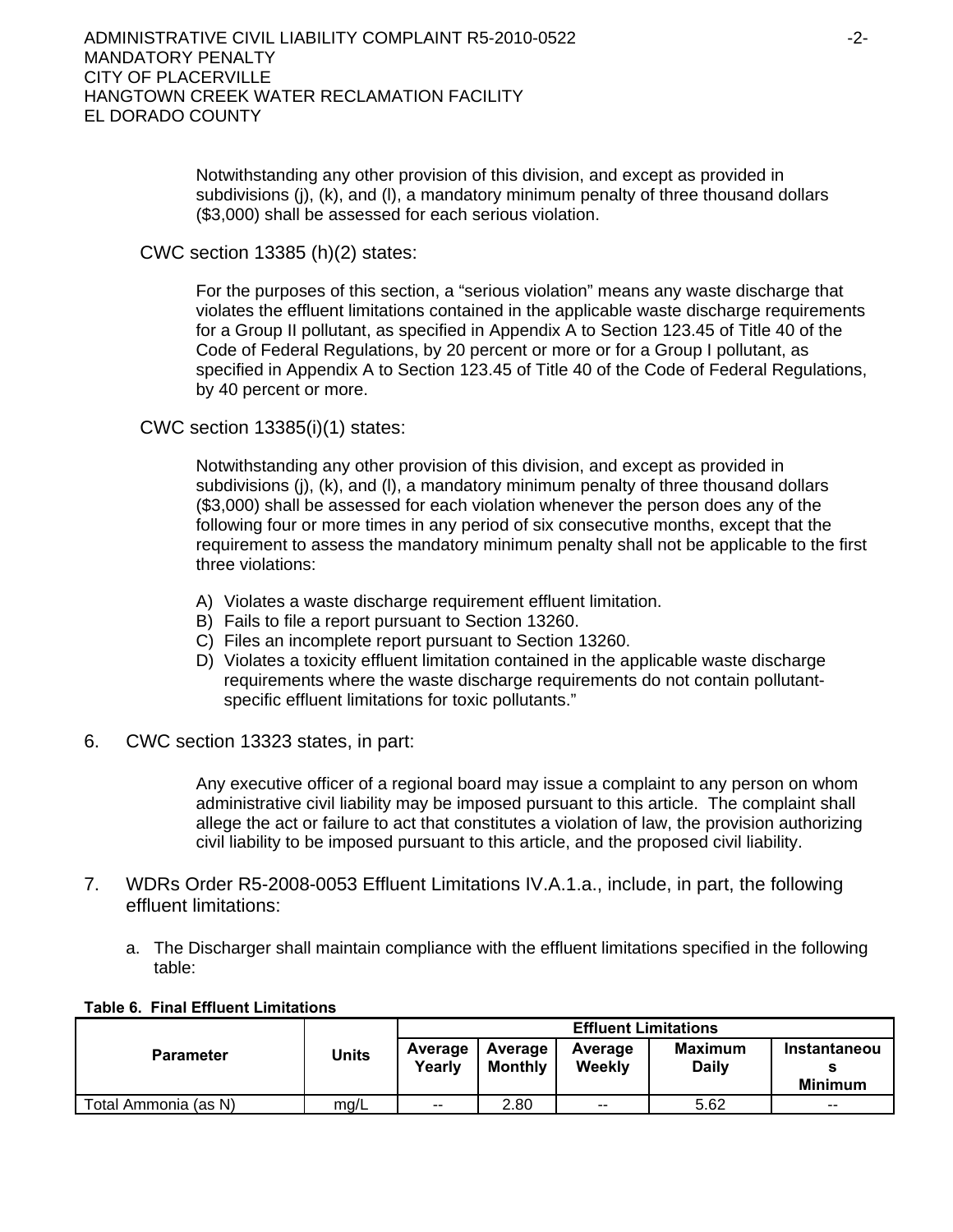Notwithstanding any other provision of this division, and except as provided in subdivisions (j), (k), and (l), a mandatory minimum penalty of three thousand dollars (\$3,000) shall be assessed for each serious violation.

CWC section 13385 (h)(2) states:

For the purposes of this section, a "serious violation" means any waste discharge that violates the effluent limitations contained in the applicable waste discharge requirements for a Group II pollutant, as specified in Appendix A to Section 123.45 of Title 40 of the Code of Federal Regulations, by 20 percent or more or for a Group I pollutant, as specified in Appendix A to Section 123.45 of Title 40 of the Code of Federal Regulations, by 40 percent or more.

CWC section 13385(i)(1) states:

Notwithstanding any other provision of this division, and except as provided in subdivisions (j), (k), and (l), a mandatory minimum penalty of three thousand dollars (\$3,000) shall be assessed for each violation whenever the person does any of the following four or more times in any period of six consecutive months, except that the requirement to assess the mandatory minimum penalty shall not be applicable to the first three violations:

- A) Violates a waste discharge requirement effluent limitation.
- B) Fails to file a report pursuant to Section 13260.
- C) Files an incomplete report pursuant to Section 13260.
- D) Violates a toxicity effluent limitation contained in the applicable waste discharge requirements where the waste discharge requirements do not contain pollutantspecific effluent limitations for toxic pollutants."
- 6. CWC section 13323 states, in part:

Any executive officer of a regional board may issue a complaint to any person on whom administrative civil liability may be imposed pursuant to this article. The complaint shall allege the act or failure to act that constitutes a violation of law, the provision authorizing civil liability to be imposed pursuant to this article, and the proposed civil liability.

- 7. WDRs Order R5-2008-0053 Effluent Limitations IV.A.1.a., include, in part, the following effluent limitations:
	- a. The Discharger shall maintain compliance with the effluent limitations specified in the following table:

| <b>Table 6. Final Effluent Limitations</b> |  |
|--------------------------------------------|--|
|--------------------------------------------|--|

|                      |       | <b>Effluent Limitations</b> |                    |                   |                                |                                       |  |
|----------------------|-------|-----------------------------|--------------------|-------------------|--------------------------------|---------------------------------------|--|
| <b>Parameter</b>     | Units | Average<br>Yearly           | Average<br>Monthly | Average<br>Weekly | <b>Maximum</b><br><b>Daily</b> | <b>Instantaneou</b><br><b>Minimum</b> |  |
| Total Ammonia (as N) | mq/L  | $-$                         | 2.80               | $\sim$ $\sim$     | 5.62                           | $- -$                                 |  |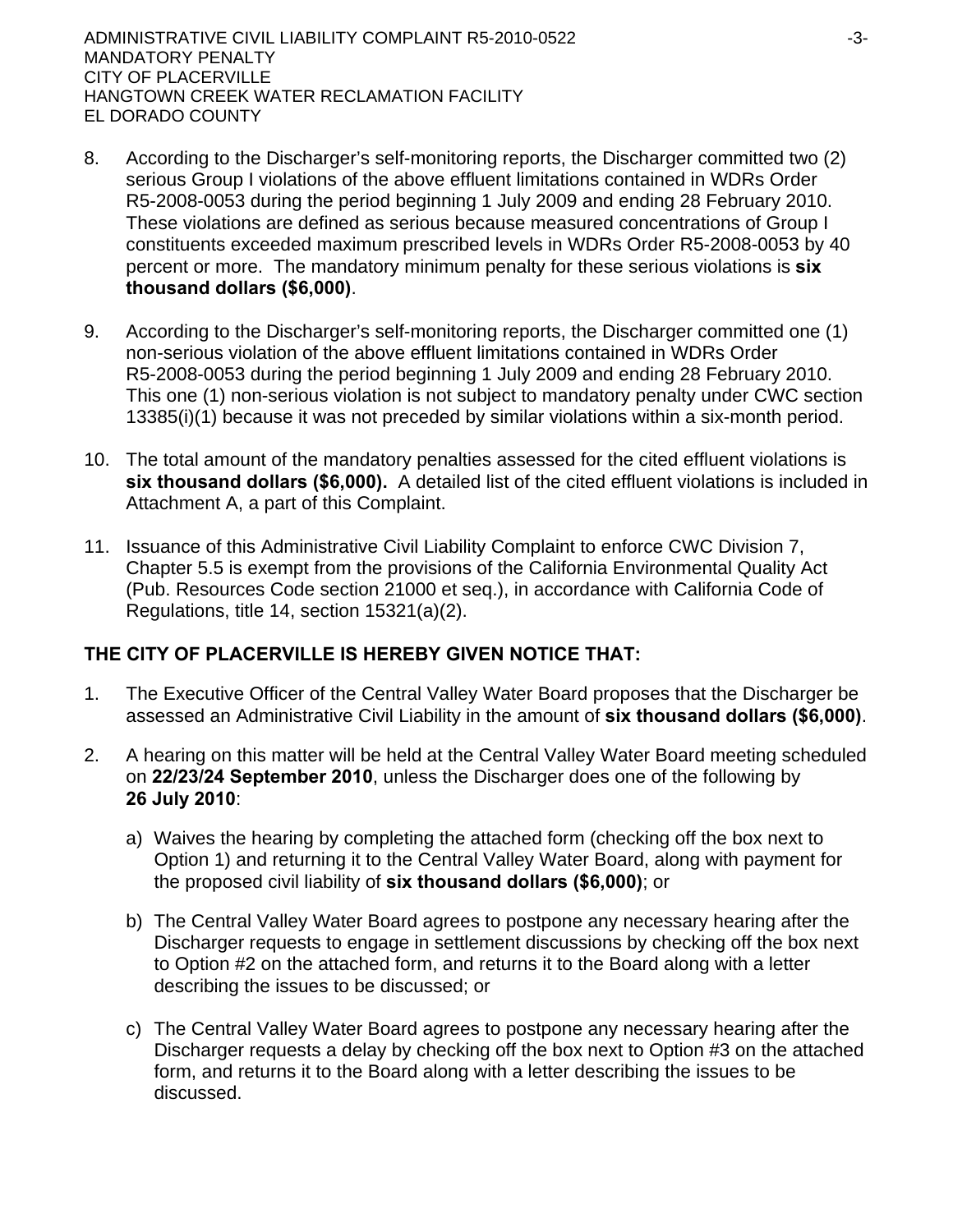- 8. According to the Discharger's self-monitoring reports, the Discharger committed two (2) serious Group I violations of the above effluent limitations contained in WDRs Order R5-2008-0053 during the period beginning 1 July 2009 and ending 28 February 2010. These violations are defined as serious because measured concentrations of Group I constituents exceeded maximum prescribed levels in WDRs Order R5-2008-0053 by 40 percent or more. The mandatory minimum penalty for these serious violations is **six thousand dollars (\$6,000)**.
- 9. According to the Discharger's self-monitoring reports, the Discharger committed one (1) non-serious violation of the above effluent limitations contained in WDRs Order R5-2008-0053 during the period beginning 1 July 2009 and ending 28 February 2010. This one (1) non-serious violation is not subject to mandatory penalty under CWC section 13385(i)(1) because it was not preceded by similar violations within a six-month period.
- 10. The total amount of the mandatory penalties assessed for the cited effluent violations is **six thousand dollars (\$6,000).** A detailed list of the cited effluent violations is included in Attachment A, a part of this Complaint.
- 11. Issuance of this Administrative Civil Liability Complaint to enforce CWC Division 7, Chapter 5.5 is exempt from the provisions of the California Environmental Quality Act (Pub. Resources Code section 21000 et seq.), in accordance with California Code of Regulations, title 14, section 15321(a)(2).

# **THE CITY OF PLACERVILLE IS HEREBY GIVEN NOTICE THAT:**

- 1. The Executive Officer of the Central Valley Water Board proposes that the Discharger be assessed an Administrative Civil Liability in the amount of **six thousand dollars (\$6,000)**.
- 2. A hearing on this matter will be held at the Central Valley Water Board meeting scheduled on **22/23/24 September 2010**, unless the Discharger does one of the following by **26 July 2010**:
	- a) Waives the hearing by completing the attached form (checking off the box next to Option 1) and returning it to the Central Valley Water Board, along with payment for the proposed civil liability of **six thousand dollars (\$6,000)**; or
	- b) The Central Valley Water Board agrees to postpone any necessary hearing after the Discharger requests to engage in settlement discussions by checking off the box next to Option #2 on the attached form, and returns it to the Board along with a letter describing the issues to be discussed; or
	- c) The Central Valley Water Board agrees to postpone any necessary hearing after the Discharger requests a delay by checking off the box next to Option #3 on the attached form, and returns it to the Board along with a letter describing the issues to be discussed.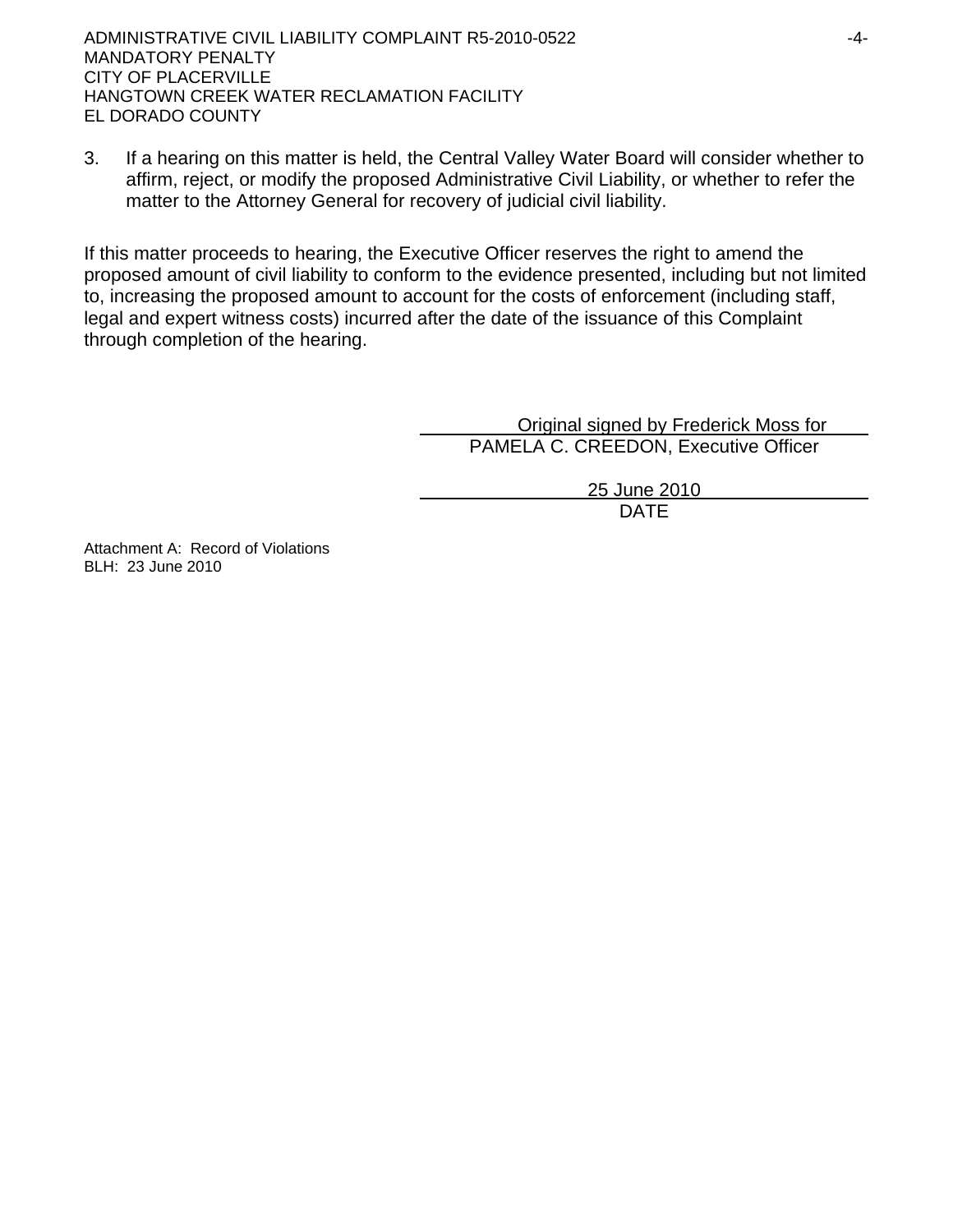3. If a hearing on this matter is held, the Central Valley Water Board will consider whether to affirm, reject, or modify the proposed Administrative Civil Liability, or whether to refer the matter to the Attorney General for recovery of judicial civil liability.

If this matter proceeds to hearing, the Executive Officer reserves the right to amend the proposed amount of civil liability to conform to the evidence presented, including but not limited to, increasing the proposed amount to account for the costs of enforcement (including staff, legal and expert witness costs) incurred after the date of the issuance of this Complaint through completion of the hearing.

> Original signed by Frederick Moss for PAMELA C. CREEDON, Executive Officer

> > 25 June 2010 DATE

Attachment A: Record of Violations BLH: 23 June 2010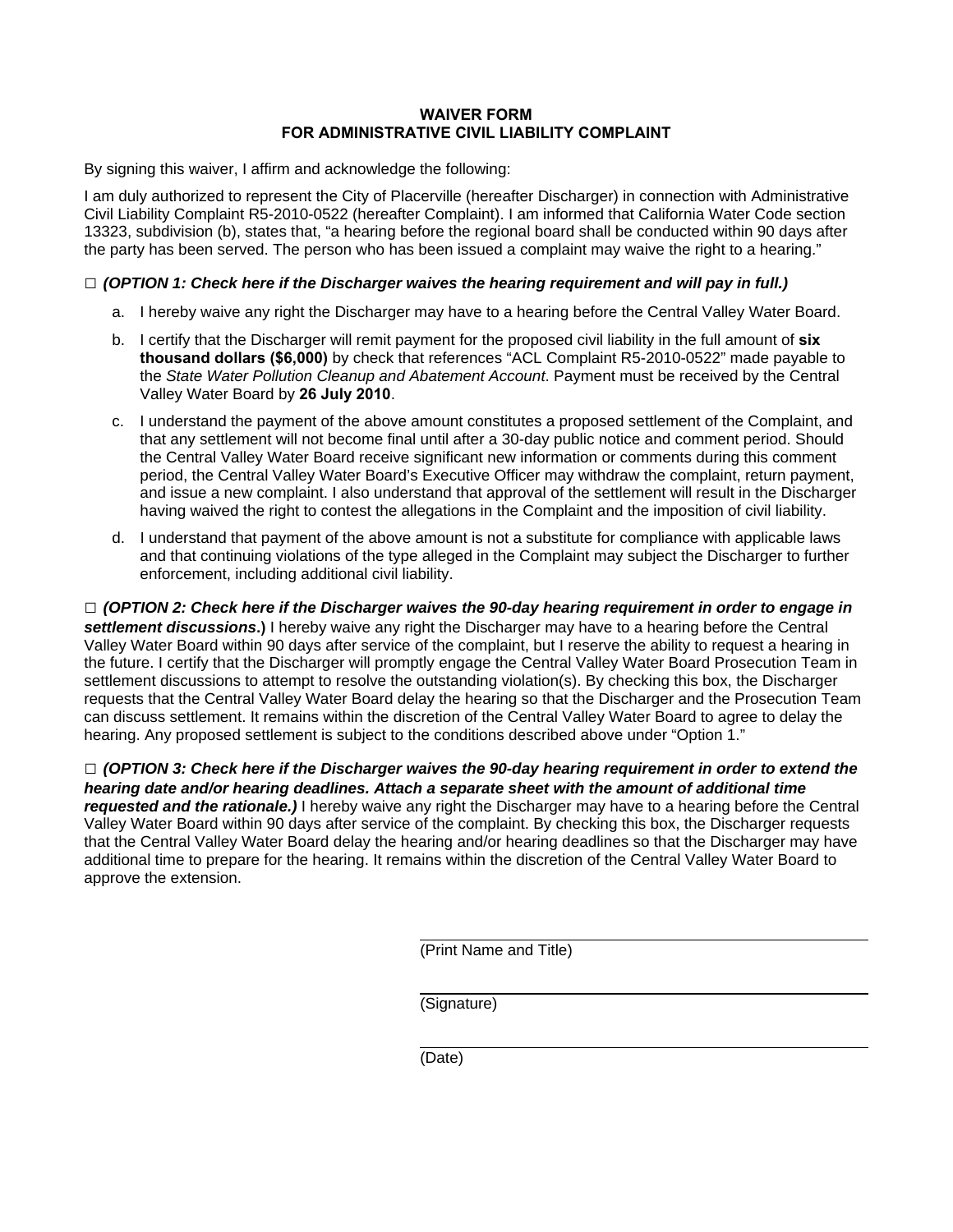### **WAIVER FORM FOR ADMINISTRATIVE CIVIL LIABILITY COMPLAINT**

By signing this waiver, I affirm and acknowledge the following:

I am duly authorized to represent the City of Placerville (hereafter Discharger) in connection with Administrative Civil Liability Complaint R5-2010-0522 (hereafter Complaint). I am informed that California Water Code section 13323, subdivision (b), states that, "a hearing before the regional board shall be conducted within 90 days after the party has been served. The person who has been issued a complaint may waive the right to a hearing."

### **□** *(OPTION 1: Check here if the Discharger waives the hearing requirement and will pay in full.)*

- a. I hereby waive any right the Discharger may have to a hearing before the Central Valley Water Board.
- b. I certify that the Discharger will remit payment for the proposed civil liability in the full amount of **six thousand dollars (\$6,000)** by check that references "ACL Complaint R5-2010-0522" made payable to the *State Water Pollution Cleanup and Abatement Account*. Payment must be received by the Central Valley Water Board by **26 July 2010**.
- c. I understand the payment of the above amount constitutes a proposed settlement of the Complaint, and that any settlement will not become final until after a 30-day public notice and comment period. Should the Central Valley Water Board receive significant new information or comments during this comment period, the Central Valley Water Board's Executive Officer may withdraw the complaint, return payment, and issue a new complaint. I also understand that approval of the settlement will result in the Discharger having waived the right to contest the allegations in the Complaint and the imposition of civil liability.
- d. I understand that payment of the above amount is not a substitute for compliance with applicable laws and that continuing violations of the type alleged in the Complaint may subject the Discharger to further enforcement, including additional civil liability.

**□** *(OPTION 2: Check here if the Discharger waives the 90-day hearing requirement in order to engage in settlement discussions***.)** I hereby waive any right the Discharger may have to a hearing before the Central Valley Water Board within 90 days after service of the complaint, but I reserve the ability to request a hearing in the future. I certify that the Discharger will promptly engage the Central Valley Water Board Prosecution Team in settlement discussions to attempt to resolve the outstanding violation(s). By checking this box, the Discharger requests that the Central Valley Water Board delay the hearing so that the Discharger and the Prosecution Team can discuss settlement. It remains within the discretion of the Central Valley Water Board to agree to delay the hearing. Any proposed settlement is subject to the conditions described above under "Option 1."

**□** *(OPTION 3: Check here if the Discharger waives the 90-day hearing requirement in order to extend the hearing date and/or hearing deadlines. Attach a separate sheet with the amount of additional time requested and the rationale.)* I hereby waive any right the Discharger may have to a hearing before the Central Valley Water Board within 90 days after service of the complaint. By checking this box, the Discharger requests that the Central Valley Water Board delay the hearing and/or hearing deadlines so that the Discharger may have additional time to prepare for the hearing. It remains within the discretion of the Central Valley Water Board to approve the extension.

(Print Name and Title)

(Signature)

(Date)